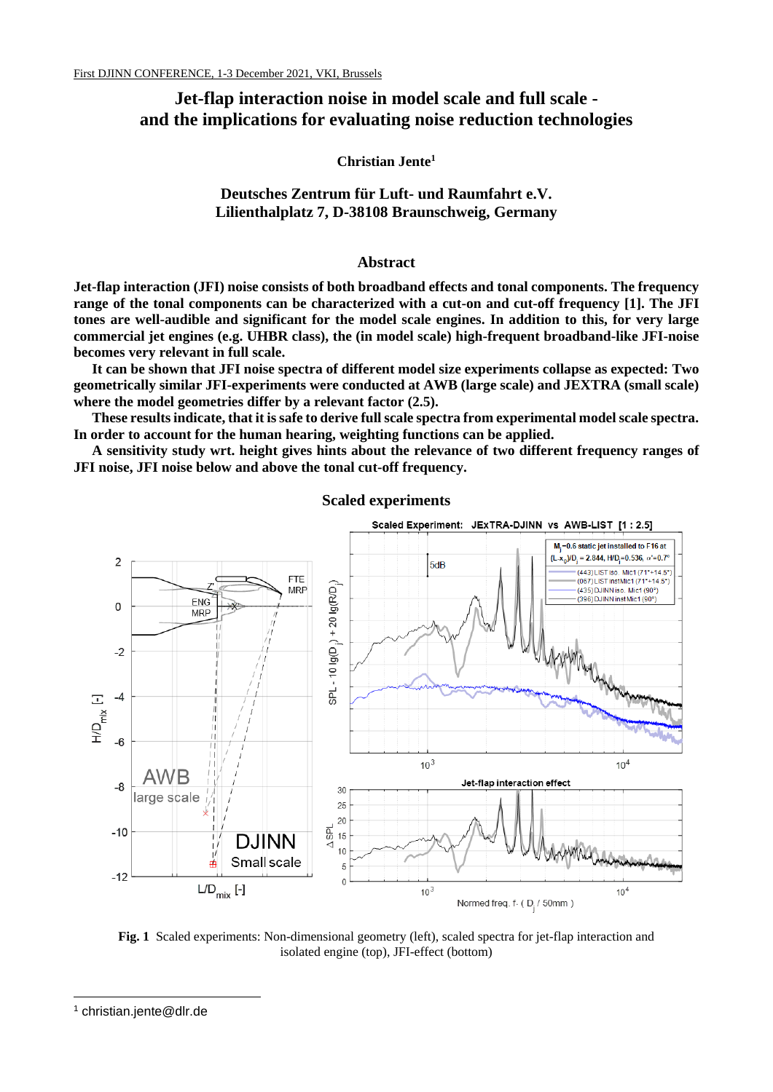# **Jet-flap interaction noise in model scale and full scale and the implications for evaluating noise reduction technologies**

**Christian Jente<sup>1</sup>**

**Deutsches Zentrum für Luft- und Raumfahrt e.V. Lilienthalplatz 7, D-38108 Braunschweig, Germany**

### **Abstract**

**Jet-flap interaction (JFI) noise consists of both broadband effects and tonal components. The frequency range of the tonal components can be characterized with a cut-on and cut-off frequency [1]. The JFI tones are well-audible and significant for the model scale engines. In addition to this, for very large commercial jet engines (e.g. UHBR class), the (in model scale) high-frequent broadband-like JFI-noise becomes very relevant in full scale.**

**It can be shown that JFI noise spectra of different model size experiments collapse as expected: Two geometrically similar JFI-experiments were conducted at AWB (large scale) and JEXTRA (small scale) where the model geometries differ by a relevant factor (2.5).** 

**These results indicate, that it is safe to derive full scale spectra from experimental model scale spectra. In order to account for the human hearing, weighting functions can be applied.** 

**A sensitivity study wrt. height gives hints about the relevance of two different frequency ranges of JFI noise, JFI noise below and above the tonal cut-off frequency.** 



**Scaled experiments**

**Fig. 1** Scaled experiments: Non-dimensional geometry (left), scaled spectra for jet-flap interaction and isolated engine (top), JFI-effect (bottom)

<sup>1</sup> christian.jente@dlr.de